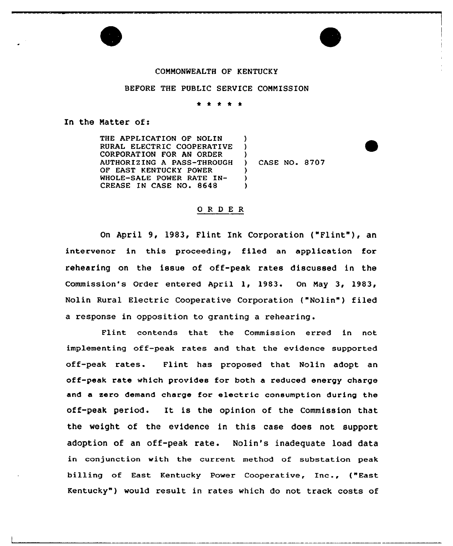## COMMONWEALTH OF KENTUCKY

## BEFORE THE PUBLIC SERVICE COMMISSION

## In the Matter of:

THE APPLICATION OF NOLIN ) RURAL ELECTRIC COOPERATIVE ) CORPORATION FOR AN ORDER  $\left\{ \begin{array}{c} 1 \end{array} \right\}$ AUTHORIZING A PASS-THROUGH CASE NO. 8707 OF EAST KENTUCKY POWER  $\lambda$ WHOLE-SALE POWER RATE IN-) CREASE IN CASE NO. 8648  $\lambda$ 

## ORDER

On April 9, 1983, Flint Ink Corporation ("Flint"}, an intervenor in this proceeding, filed an application for rehearing on the issue of off-peak rates discussed in the Commission's Order entered April 1, 1983. On May 3, 1983, Nolin Rural Electric Cooperative Corporation ("Nolin") filed <sup>a</sup> response in opposition to granting <sup>a</sup> rehearing .

Flint contends that the Commission erred in not implementing off-peak rates and that the evidence supported off-peak rates. Flint has proposed that Nolin adopt an off-peak rate which provides for both a reduced energy charge and a zero demand charge for electric consumption during the off-peak period. It is the opinion of the Commission that the weight of the evidence in this case does not support adoption of an off-peak rate. Nolin's inadequate load data in conjunction with the current method of substation peak billing of East Kentucky Power Cooperative, Inc., ("East Kentucky" ) would result in rates which do not track costs of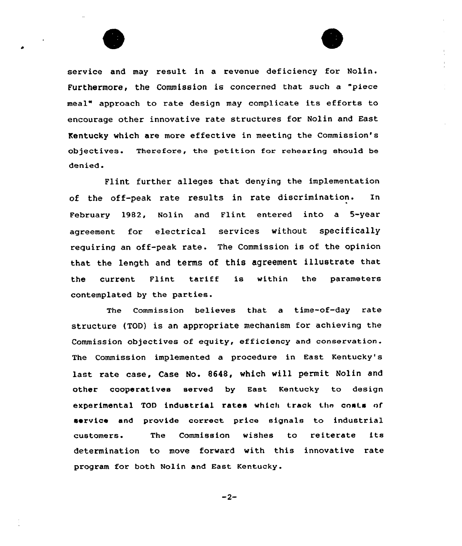

service and may result in a revenue deficiency for Nolin. Furthermore, the Commission is concerned that such a "piece meal" approach to rate design may complicate its efforts to encourage other innovative rate structures for Nolin and East Kentucky which are more effective in meeting the commission's objectives. Therefore, the petition for rehearing should be denied.

Flint further alleges that denying the implementation of the off-peak rate results in rate discrimination. In February 1982, Nolin and Flint entered into a 5-year agreement for electrical services without specifically requiring an off-peak rate. The Commission is of the opinion that the length and terms of this agreement illustrate that the current Flint tariff is within the parameter contemplated by the parties.

The Commission believes that a time-of-day rate structure (TOD) is an appropriate mechanism for achieving the Commission objectives of equity, efficiency and conservation. The Commission implemented a procedure in East Kentucky's last rate case, Case No. 8648, vhich will permit Nolin and other cooperatives served by East Kentucky to design experimental TOD industrial rates which track the costs of service and provide correct price signals to industrial customers. The Commission wishes to reiterate its determination to move forward with this innovative rate program for both Nolin and East Kentucky.

 $-2-$